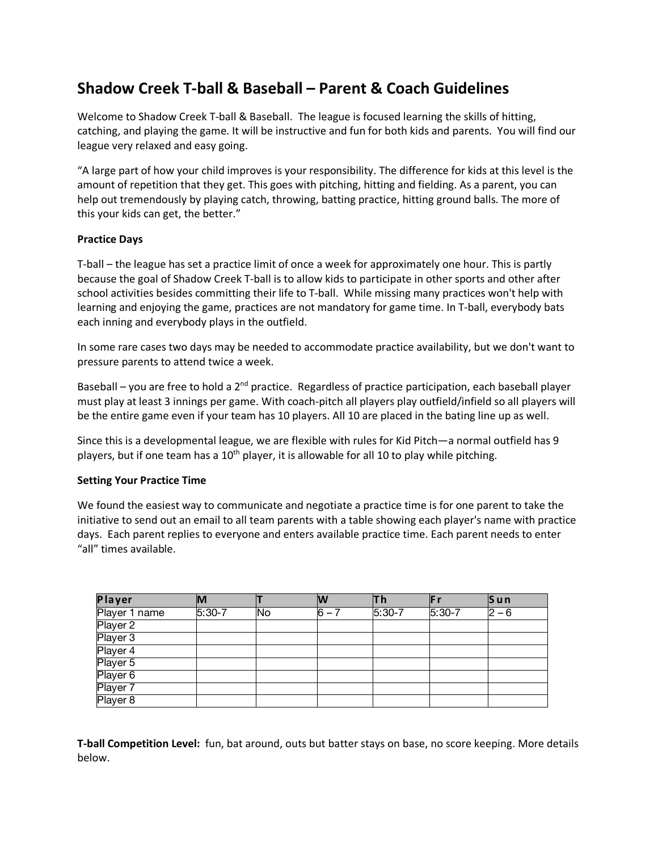# **Shadow Creek T-ball & Baseball – Parent & Coach Guidelines**

Welcome to Shadow Creek T-ball & Baseball. The league is focused learning the skills of hitting, catching, and playing the game. It will be instructive and fun for both kids and parents. You will find our league very relaxed and easy going.

"A large part of how your child improves is your responsibility. The difference for kids at this level is the amount of repetition that they get. This goes with pitching, hitting and fielding. As a parent, you can help out tremendously by playing catch, throwing, batting practice, hitting ground balls. The more of this your kids can get, the better."

# **Practice Days**

T-ball – the league has set a practice limit of once a week for approximately one hour. This is partly because the goal of Shadow Creek T-ball is to allow kids to participate in other sports and other after school activities besides committing their life to T-ball. While missing many practices won't help with learning and enjoying the game, practices are not mandatory for game time. In T-ball, everybody bats each inning and everybody plays in the outfield.

In some rare cases two days may be needed to accommodate practice availability, but we don't want to pressure parents to attend twice a week.

Baseball – you are free to hold a  $2^{nd}$  practice. Regardless of practice participation, each baseball player must play at least 3 innings per game. With coach-pitch all players play outfield/infield so all players will be the entire game even if your team has 10 players. All 10 are placed in the bating line up as well.

Since this is a developmental league, we are flexible with rules for Kid Pitch—a normal outfield has 9 players, but if one team has a  $10<sup>th</sup>$  player, it is allowable for all 10 to play while pitching.

# **Setting Your Practice Time**

We found the easiest way to communicate and negotiate a practice time is for one parent to take the initiative to send out an email to all team parents with a table showing each player's name with practice days. Each parent replies to everyone and enters available practice time. Each parent needs to enter "all" times available.

| Player        | M        |     | W         | Τh       | lF r     | $\vert$ Sun |
|---------------|----------|-----|-----------|----------|----------|-------------|
| Player 1 name | $5:30-7$ | lNo | $ 6 - 7 $ | $5:30-7$ | $5:30-7$ | $ 2 - 6 $   |
| Player 2      |          |     |           |          |          |             |
| Player 3      |          |     |           |          |          |             |
| Player 4      |          |     |           |          |          |             |
| Player 5      |          |     |           |          |          |             |
| Player 6      |          |     |           |          |          |             |
| Player 7      |          |     |           |          |          |             |
| Player 8      |          |     |           |          |          |             |

**T-ball Competition Level:** fun, bat around, outs but batter stays on base, no score keeping. More details below.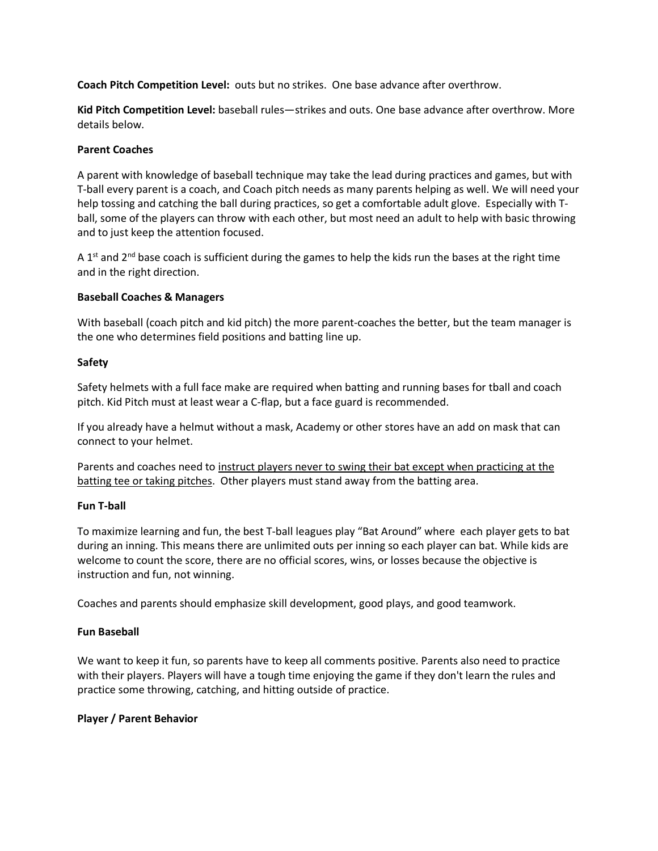**Coach Pitch Competition Level:** outs but no strikes. One base advance after overthrow.

**Kid Pitch Competition Level:** baseball rules—strikes and outs. One base advance after overthrow. More details below.

# **Parent Coaches**

A parent with knowledge of baseball technique may take the lead during practices and games, but with T-ball every parent is a coach, and Coach pitch needs as many parents helping as well. We will need your help tossing and catching the ball during practices, so get a comfortable adult glove. Especially with Tball, some of the players can throw with each other, but most need an adult to help with basic throwing and to just keep the attention focused.

A 1<sup>st</sup> and 2<sup>nd</sup> base coach is sufficient during the games to help the kids run the bases at the right time and in the right direction.

# **Baseball Coaches & Managers**

With baseball (coach pitch and kid pitch) the more parent-coaches the better, but the team manager is the one who determines field positions and batting line up.

# **Safety**

Safety helmets with a full face make are required when batting and running bases for tball and coach pitch. Kid Pitch must at least wear a C-flap, but a face guard is recommended.

If you already have a helmut without a mask, Academy or other stores have an add on mask that can connect to your helmet.

Parents and coaches need to instruct players never to swing their bat except when practicing at the batting tee or taking pitches. Other players must stand away from the batting area.

# **Fun T-ball**

To maximize learning and fun, the best T-ball leagues play "Bat Around" where each player gets to bat during an inning. This means there are unlimited outs per inning so each player can bat. While kids are welcome to count the score, there are no official scores, wins, or losses because the objective is instruction and fun, not winning.

Coaches and parents should emphasize skill development, good plays, and good teamwork.

# **Fun Baseball**

We want to keep it fun, so parents have to keep all comments positive. Parents also need to practice with their players. Players will have a tough time enjoying the game if they don't learn the rules and practice some throwing, catching, and hitting outside of practice.

# **Player / Parent Behavior**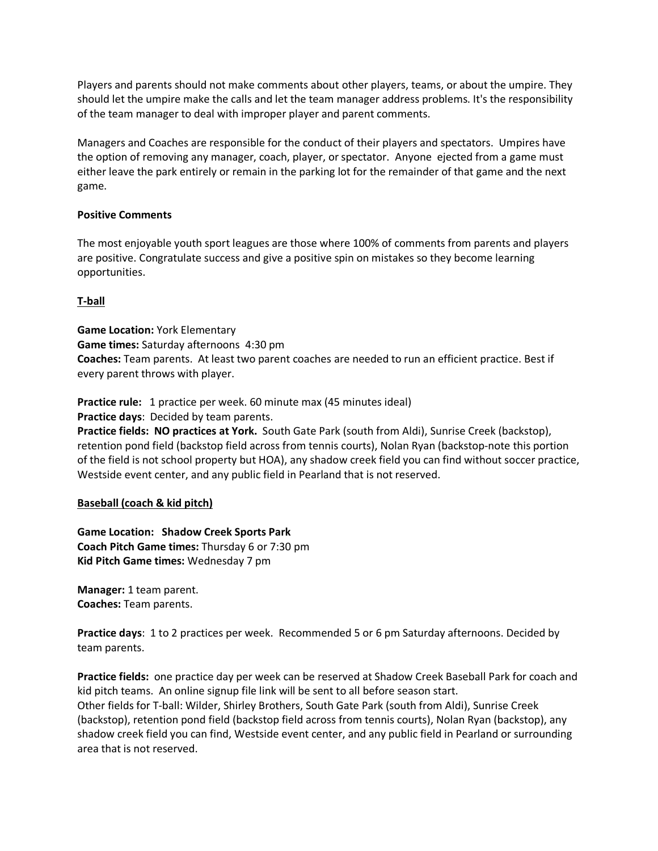Players and parents should not make comments about other players, teams, or about the umpire. They should let the umpire make the calls and let the team manager address problems. It's the responsibility of the team manager to deal with improper player and parent comments.

Managers and Coaches are responsible for the conduct of their players and spectators. Umpires have the option of removing any manager, coach, player, or spectator. Anyone ejected from a game must either leave the park entirely or remain in the parking lot for the remainder of that game and the next game.

# **Positive Comments**

The most enjoyable youth sport leagues are those where 100% of comments from parents and players are positive. Congratulate success and give a positive spin on mistakes so they become learning opportunities.

# **T-ball**

**Game Location:** York Elementary **Game times:** Saturday afternoons 4:30 pm **Coaches:** Team parents. At least two parent coaches are needed to run an efficient practice. Best if every parent throws with player.

**Practice rule:** 1 practice per week. 60 minute max (45 minutes ideal) **Practice days**: Decided by team parents.

**Practice fields: NO practices at York.** South Gate Park (south from Aldi), Sunrise Creek (backstop), retention pond field (backstop field across from tennis courts), Nolan Ryan (backstop-note this portion of the field is not school property but HOA), any shadow creek field you can find without soccer practice, Westside event center, and any public field in Pearland that is not reserved.

# **Baseball (coach & kid pitch)**

**Game Location: Shadow Creek Sports Park Coach Pitch Game times:** Thursday 6 or 7:30 pm **Kid Pitch Game times:** Wednesday 7 pm

**Manager:** 1 team parent. **Coaches:** Team parents.

**Practice days**: 1 to 2 practices per week. Recommended 5 or 6 pm Saturday afternoons. Decided by team parents.

**Practice fields:** one practice day per week can be reserved at Shadow Creek Baseball Park for coach and kid pitch teams. An online signup file link will be sent to all before season start. Other fields for T-ball: Wilder, Shirley Brothers, South Gate Park (south from Aldi), Sunrise Creek (backstop), retention pond field (backstop field across from tennis courts), Nolan Ryan (backstop), any shadow creek field you can find, Westside event center, and any public field in Pearland or surrounding area that is not reserved.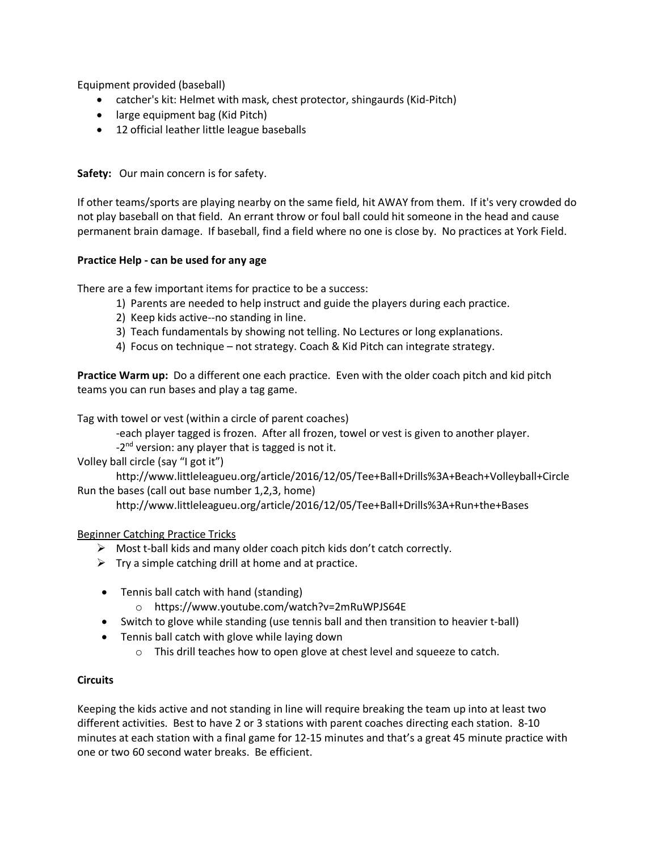Equipment provided (baseball)

- catcher's kit: Helmet with mask, chest protector, shingaurds (Kid-Pitch)
- large equipment bag (Kid Pitch)
- 12 official leather little league baseballs

**Safety:** Our main concern is for safety.

If other teams/sports are playing nearby on the same field, hit AWAY from them. If it's very crowded do not play baseball on that field. An errant throw or foul ball could hit someone in the head and cause permanent brain damage. If baseball, find a field where no one is close by. No practices at York Field.

# **Practice Help - can be used for any age**

There are a few important items for practice to be a success:

- 1) Parents are needed to help instruct and guide the players during each practice.
- 2) Keep kids active--no standing in line.
- 3) Teach fundamentals by showing not telling. No Lectures or long explanations.
- 4) Focus on technique not strategy. Coach & Kid Pitch can integrate strategy.

**Practice Warm up:** Do a different one each practice. Even with the older coach pitch and kid pitch teams you can run bases and play a tag game.

Tag with towel or vest (within a circle of parent coaches)

-each player tagged is frozen. After all frozen, towel or vest is given to another player.

 $-2<sup>nd</sup>$  version: any player that is tagged is not it.

Volley ball circle (say "I got it")

http://www.littleleagueu.org/article/2016/12/05/Tee+Ball+Drills%3A+Beach+Volleyball+Circle Run the bases (call out base number 1,2,3, home)

http://www.littleleagueu.org/article/2016/12/05/Tee+Ball+Drills%3A+Run+the+Bases

# Beginner Catching Practice Tricks

- $\triangleright$  Most t-ball kids and many older coach pitch kids don't catch correctly.
- $\triangleright$  Try a simple catching drill at home and at practice.
- Tennis ball catch with hand (standing)
	- o https://www.youtube.com/watch?v=2mRuWPJS64E
- Switch to glove while standing (use tennis ball and then transition to heavier t-ball)
- Tennis ball catch with glove while laying down
	- o This drill teaches how to open glove at chest level and squeeze to catch.

# **Circuits**

Keeping the kids active and not standing in line will require breaking the team up into at least two different activities. Best to have 2 or 3 stations with parent coaches directing each station. 8-10 minutes at each station with a final game for 12-15 minutes and that's a great 45 minute practice with one or two 60 second water breaks. Be efficient.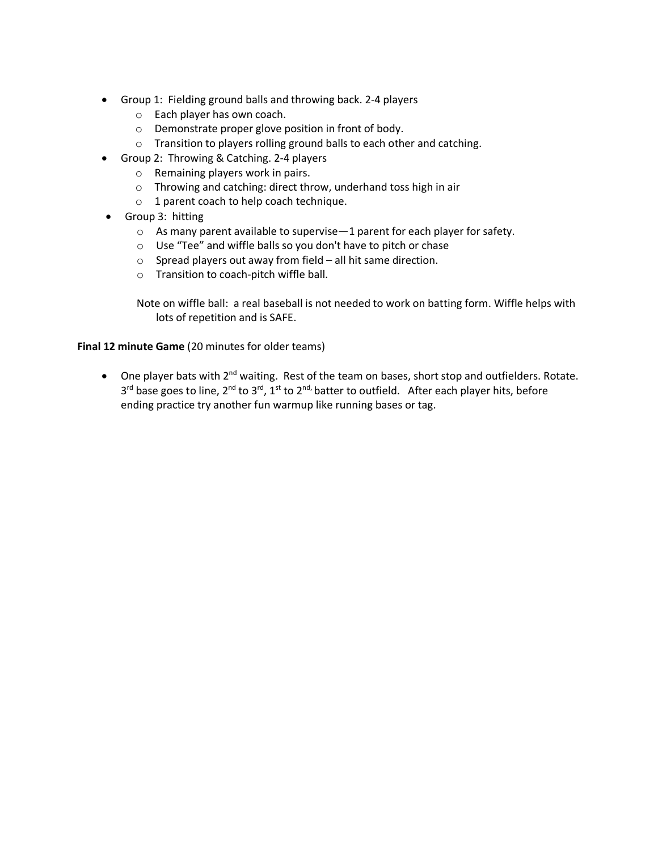- Group 1: Fielding ground balls and throwing back. 2-4 players
	- o Each player has own coach.
	- o Demonstrate proper glove position in front of body.
	- o Transition to players rolling ground balls to each other and catching.
- Group 2: Throwing & Catching. 2-4 players
	- o Remaining players work in pairs.
	- o Throwing and catching: direct throw, underhand toss high in air
	- o 1 parent coach to help coach technique.
- Group 3: hitting
	- o As many parent available to supervise—1 parent for each player for safety.
	- o Use "Tee" and wiffle balls so you don't have to pitch or chase
	- o Spread players out away from field all hit same direction.
	- o Transition to coach-pitch wiffle ball.

Note on wiffle ball: a real baseball is not needed to work on batting form. Wiffle helps with lots of repetition and is SAFE.

#### **Final 12 minute Game** (20 minutes for older teams)

• One player bats with 2<sup>nd</sup> waiting. Rest of the team on bases, short stop and outfielders. Rotate.  $3^{rd}$  base goes to line,  $2^{nd}$  to  $3^{rd}$ ,  $1^{st}$  to  $2^{nd}$ , batter to outfield. After each player hits, before ending practice try another fun warmup like running bases or tag.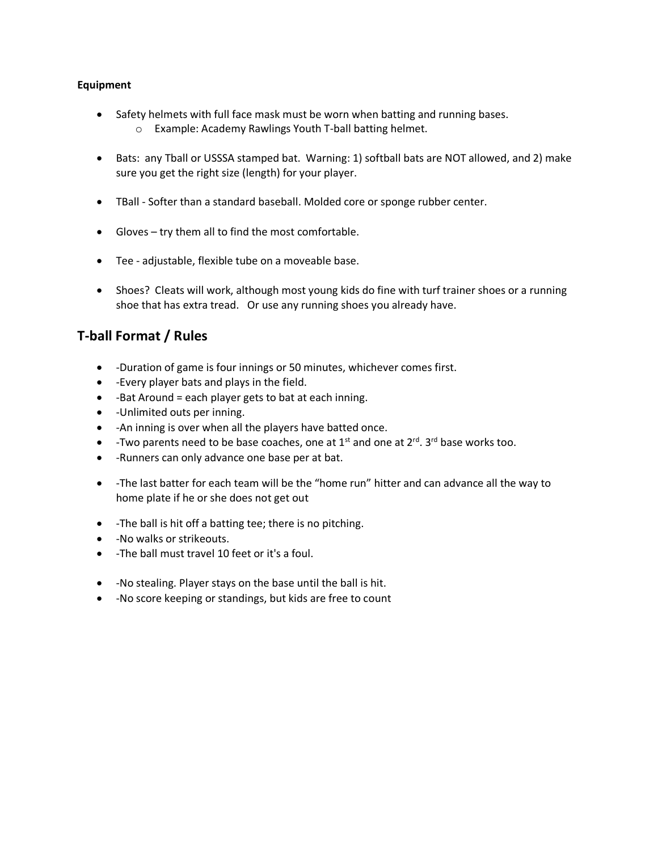# **Equipment**

- Safety helmets with full face mask must be worn when batting and running bases.
	- o Example: Academy Rawlings Youth T-ball batting helmet.
- Bats: any Tball or USSSA stamped bat. Warning: 1) softball bats are NOT allowed, and 2) make sure you get the right size (length) for your player.
- TBall Softer than a standard baseball. Molded core or sponge rubber center.
- Gloves try them all to find the most comfortable.
- Tee adjustable, flexible tube on a moveable base.
- Shoes? Cleats will work, although most young kids do fine with turf trainer shoes or a running shoe that has extra tread. Or use any running shoes you already have.

# **T-ball Format / Rules**

- -Duration of game is four innings or 50 minutes, whichever comes first.
- -Every player bats and plays in the field.
- -Bat Around = each player gets to bat at each inning.
- -Unlimited outs per inning.
- -An inning is over when all the players have batted once.
- -Two parents need to be base coaches, one at  $1<sup>st</sup>$  and one at  $2<sup>rd</sup>$ .  $3<sup>rd</sup>$  base works too.
- -Runners can only advance one base per at bat.
- -The last batter for each team will be the "home run" hitter and can advance all the way to home plate if he or she does not get out
- -The ball is hit off a batting tee; there is no pitching.
- -No walks or strikeouts.
- -The ball must travel 10 feet or it's a foul.
- -No stealing. Player stays on the base until the ball is hit.
- -No score keeping or standings, but kids are free to count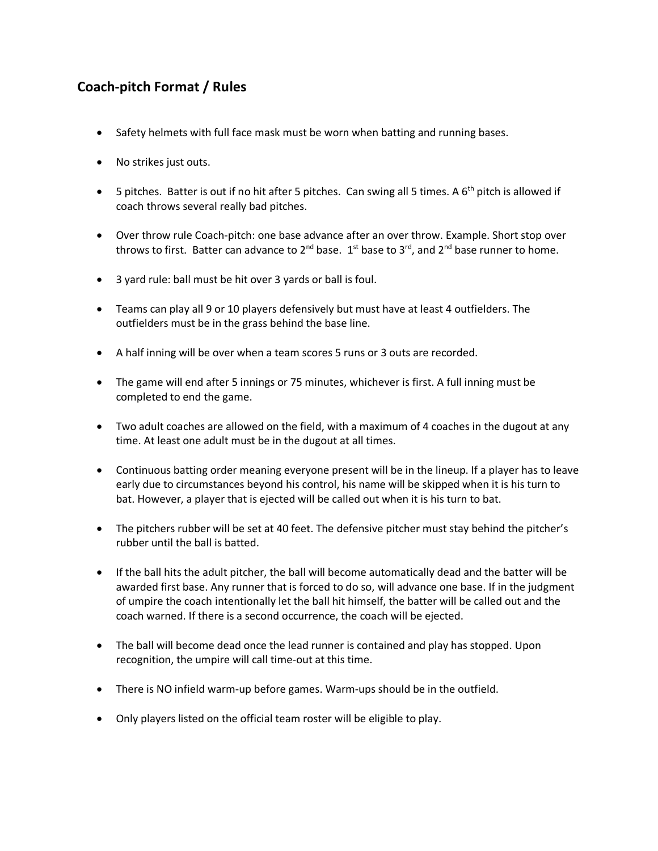# **Coach-pitch Format / Rules**

- Safety helmets with full face mask must be worn when batting and running bases.
- No strikes just outs.
- 5 pitches. Batter is out if no hit after 5 pitches. Can swing all 5 times. A  $6<sup>th</sup>$  pitch is allowed if coach throws several really bad pitches.
- Over throw rule Coach-pitch: one base advance after an over throw. Example. Short stop over throws to first. Batter can advance to 2<sup>nd</sup> base.  $1^{st}$  base to 3<sup>rd</sup>, and 2<sup>nd</sup> base runner to home.
- 3 yard rule: ball must be hit over 3 yards or ball is foul.
- Teams can play all 9 or 10 players defensively but must have at least 4 outfielders. The outfielders must be in the grass behind the base line.
- A half inning will be over when a team scores 5 runs or 3 outs are recorded.
- The game will end after 5 innings or 75 minutes, whichever is first. A full inning must be completed to end the game.
- Two adult coaches are allowed on the field, with a maximum of 4 coaches in the dugout at any time. At least one adult must be in the dugout at all times.
- Continuous batting order meaning everyone present will be in the lineup. If a player has to leave early due to circumstances beyond his control, his name will be skipped when it is his turn to bat. However, a player that is ejected will be called out when it is his turn to bat.
- The pitchers rubber will be set at 40 feet. The defensive pitcher must stay behind the pitcher's rubber until the ball is batted.
- If the ball hits the adult pitcher, the ball will become automatically dead and the batter will be awarded first base. Any runner that is forced to do so, will advance one base. If in the judgment of umpire the coach intentionally let the ball hit himself, the batter will be called out and the coach warned. If there is a second occurrence, the coach will be ejected.
- The ball will become dead once the lead runner is contained and play has stopped. Upon recognition, the umpire will call time-out at this time.
- There is NO infield warm-up before games. Warm-ups should be in the outfield.
- Only players listed on the official team roster will be eligible to play.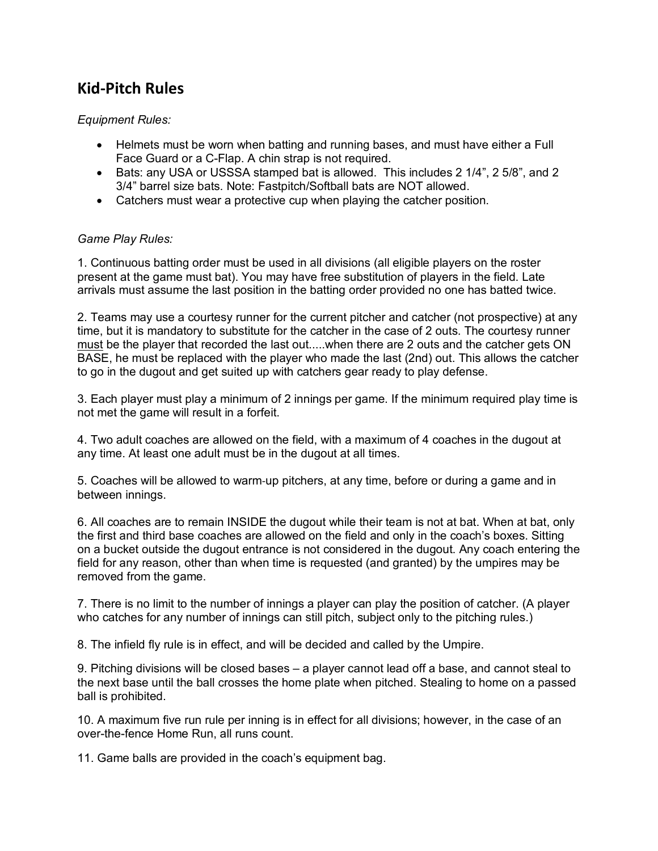# **Kid-Pitch Rules**

# *Equipment Rules:*

- Helmets must be worn when batting and running bases, and must have either a Full Face Guard or a C-Flap. A chin strap is not required.
- Bats: any USA or USSSA stamped bat is allowed. This includes 2 1/4", 2 5/8", and 2 3/4" barrel size bats. Note: Fastpitch/Softball bats are NOT allowed.
- Catchers must wear a protective cup when playing the catcher position.

# *Game Play Rules:*

1. Continuous batting order must be used in all divisions (all eligible players on the roster present at the game must bat). You may have free substitution of players in the field. Late arrivals must assume the last position in the batting order provided no one has batted twice.

2. Teams may use a courtesy runner for the current pitcher and catcher (not prospective) at any time, but it is mandatory to substitute for the catcher in the case of 2 outs. The courtesy runner must be the player that recorded the last out.....when there are 2 outs and the catcher gets ON BASE, he must be replaced with the player who made the last (2nd) out. This allows the catcher to go in the dugout and get suited up with catchers gear ready to play defense.

3. Each player must play a minimum of 2 innings per game. If the minimum required play time is not met the game will result in a forfeit.

4. Two adult coaches are allowed on the field, with a maximum of 4 coaches in the dugout at any time. At least one adult must be in the dugout at all times.

5. Coaches will be allowed to warm-up pitchers, at any time, before or during a game and in between innings.

6. All coaches are to remain INSIDE the dugout while their team is not at bat. When at bat, only the first and third base coaches are allowed on the field and only in the coach's boxes. Sitting on a bucket outside the dugout entrance is not considered in the dugout. Any coach entering the field for any reason, other than when time is requested (and granted) by the umpires may be removed from the game.

7. There is no limit to the number of innings a player can play the position of catcher. (A player who catches for any number of innings can still pitch, subject only to the pitching rules.)

8. The infield fly rule is in effect, and will be decided and called by the Umpire.

9. Pitching divisions will be closed bases – a player cannot lead off a base, and cannot steal to the next base until the ball crosses the home plate when pitched. Stealing to home on a passed ball is prohibited.

10. A maximum five run rule per inning is in effect for all divisions; however, in the case of an over-the-fence Home Run, all runs count.

11. Game balls are provided in the coach's equipment bag.